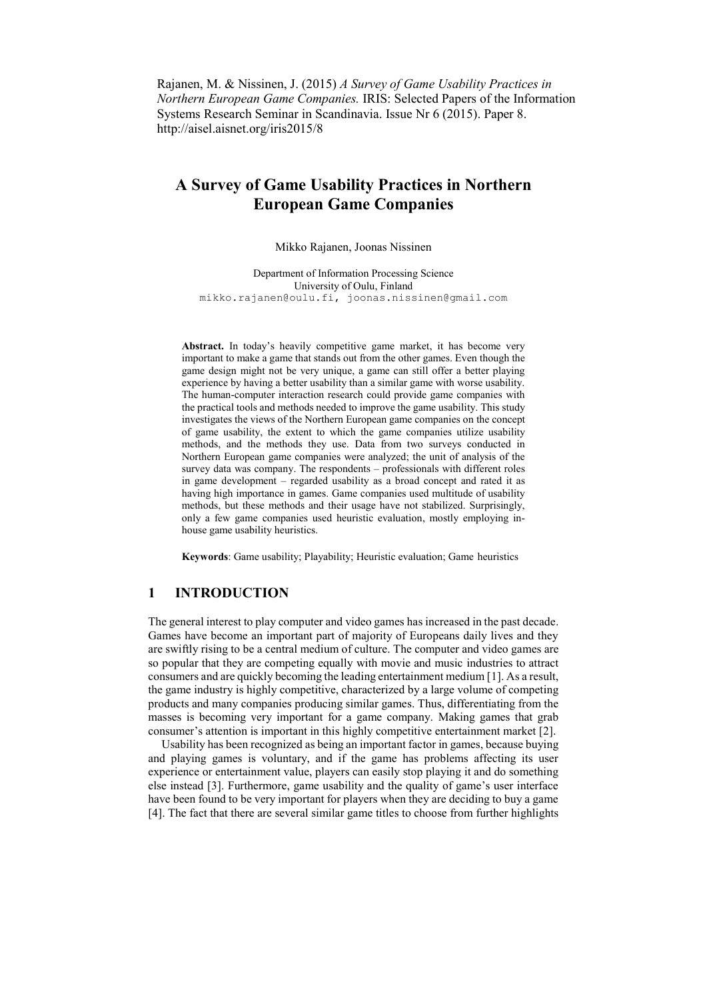Rajanen, M. & Nissinen, J. (2015) *A Survey of Game Usability Practices in Northern European Game Companies.* IRIS: Selected Papers of the Information Systems Research Seminar in Scandinavia. Issue Nr 6 (2015). Paper 8. http://aisel.aisnet.org/iris2015/8

# **A Survey of Game Usability Practices in Northern European Game Companies**

Mikko Rajanen, Joonas Nissinen

Department of Information Processing Science University of Oulu, Finland mikko.rajanen@oulu.fi, joonas.nissinen@gmail.com

Abstract. In today's heavily competitive game market, it has become very important to make a game that stands out from the other games. Even though the game design might not be very unique, a game can still offer a better playing experience by having a better usability than a similar game with worse usability. The human-computer interaction research could provide game companies with the practical tools and methods needed to improve the game usability. This study investigates the views of the Northern European game companies on the concept of game usability, the extent to which the game companies utilize usability methods, and the methods they use. Data from two surveys conducted in Northern European game companies were analyzed; the unit of analysis of the survey data was company. The respondents – professionals with different roles in game development – regarded usability as a broad concept and rated it as having high importance in games. Game companies used multitude of usability methods, but these methods and their usage have not stabilized. Surprisingly, only a few game companies used heuristic evaluation, mostly employing inhouse game usability heuristics.

**Keywords**: Game usability; Playability; Heuristic evaluation; Game heuristics

# **1 INTRODUCTION**

The general interest to play computer and video games has increased in the past decade. Games have become an important part of majority of Europeans daily lives and they are swiftly rising to be a central medium of culture. The computer and video games are so popular that they are competing equally with movie and music industries to attract consumers and are quickly becoming the leading entertainment medium [1]. As a result, the game industry is highly competitive, characterized by a large volume of competing products and many companies producing similar games. Thus, differentiating from the masses is becoming very important for a game company. Making games that grab consumer's attention is important in this highly competitive entertainment market [2].

Usability has been recognized as being an important factor in games, because buying and playing games is voluntary, and if the game has problems affecting its user experience or entertainment value, players can easily stop playing it and do something else instead [3]. Furthermore, game usability and the quality of game's user interface have been found to be very important for players when they are deciding to buy a game [4]. The fact that there are several similar game titles to choose from further highlights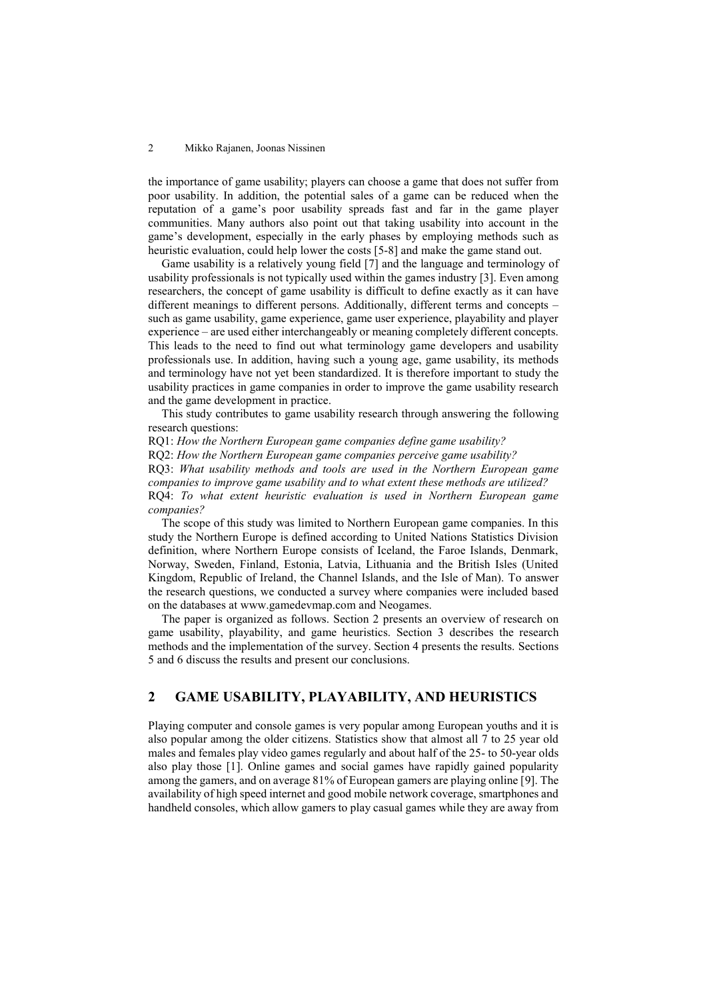the importance of game usability; players can choose a game that does not suffer from poor usability. In addition, the potential sales of a game can be reduced when the reputation of a game's poor usability spreads fast and far in the game player communities. Many authors also point out that taking usability into account in the game's development, especially in the early phases by employing methods such as heuristic evaluation, could help lower the costs [5-8] and make the game stand out.

Game usability is a relatively young field [7] and the language and terminology of usability professionals is not typically used within the games industry [3]. Even among researchers, the concept of game usability is difficult to define exactly as it can have different meanings to different persons. Additionally, different terms and concepts – such as game usability, game experience, game user experience, playability and player experience – are used either interchangeably or meaning completely different concepts. This leads to the need to find out what terminology game developers and usability professionals use. In addition, having such a young age, game usability, its methods and terminology have not yet been standardized. It is therefore important to study the usability practices in game companies in order to improve the game usability research and the game development in practice.

This study contributes to game usability research through answering the following research questions:

RQ1: *How the Northern European game companies define game usability?* RQ2: *How the Northern European game companies perceive game usability?* RQ3: *What usability methods and tools are used in the Northern European game companies to improve game usability and to what extent these methods are utilized?* RQ4: *To what extent heuristic evaluation is used in Northern European game companies?*

The scope of this study was limited to Northern European game companies. In this study the Northern Europe is defined according to United Nations Statistics Division definition, where Northern Europe consists of Iceland, the Faroe Islands, Denmark, Norway, Sweden, Finland, Estonia, Latvia, Lithuania and the British Isles (United Kingdom, Republic of Ireland, the Channel Islands, and the Isle of Man). To answer the research questions, we conducted a survey where companies were included based on the databases at www.gamedevmap.com and Neogames.

The paper is organized as follows. Section 2 presents an overview of research on game usability, playability, and game heuristics. Section 3 describes the research methods and the implementation of the survey. Section 4 presents the results. Sections 5 and 6 discuss the results and present our conclusions.

# **2 GAME USABILITY, PLAYABILITY, AND HEURISTICS**

Playing computer and console games is very popular among European youths and it is also popular among the older citizens. Statistics show that almost all 7 to 25 year old males and females play video games regularly and about half of the 25- to 50-year olds also play those [1]. Online games and social games have rapidly gained popularity among the gamers, and on average 81% of European gamers are playing online [9]. The availability of high speed internet and good mobile network coverage, smartphones and handheld consoles, which allow gamers to play casual games while they are away from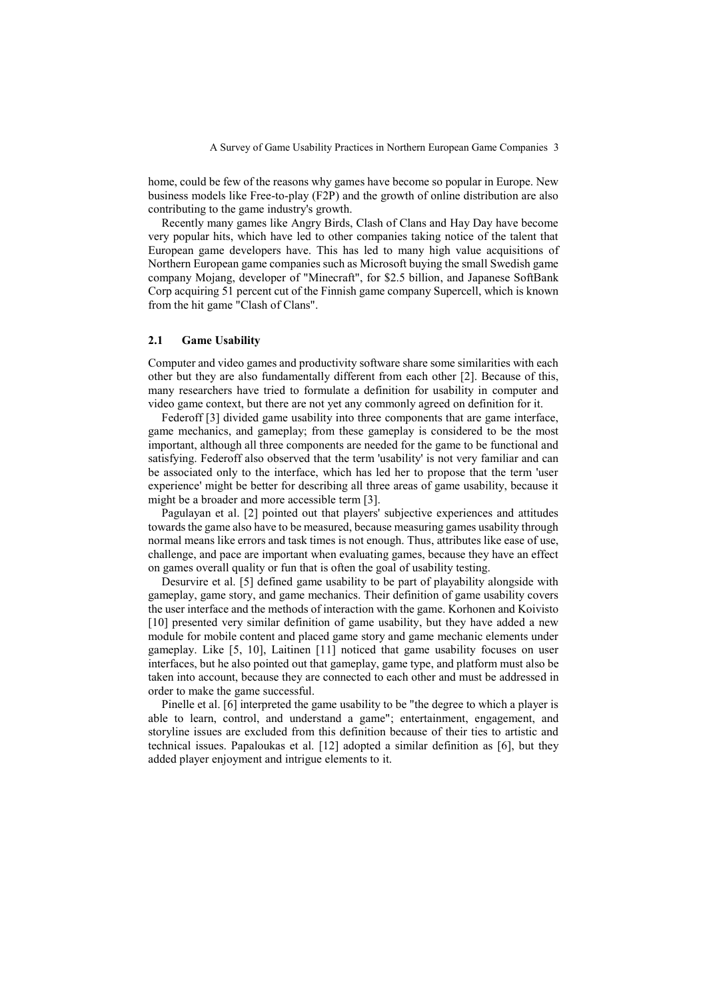home, could be few of the reasons why games have become so popular in Europe. New business models like Free-to-play (F2P) and the growth of online distribution are also contributing to the game industry's growth.

Recently many games like Angry Birds, Clash of Clans and Hay Day have become very popular hits, which have led to other companies taking notice of the talent that European game developers have. This has led to many high value acquisitions of Northern European game companies such as Microsoft buying the small Swedish game company Mojang, developer of "Minecraft", for \$2.5 billion, and Japanese SoftBank Corp acquiring 51 percent cut of the Finnish game company Supercell, which is known from the hit game "Clash of Clans".

## **2.1 Game Usability**

Computer and video games and productivity software share some similarities with each other but they are also fundamentally different from each other [2]. Because of this, many researchers have tried to formulate a definition for usability in computer and video game context, but there are not yet any commonly agreed on definition for it.

Federoff [3] divided game usability into three components that are game interface, game mechanics, and gameplay; from these gameplay is considered to be the most important, although all three components are needed for the game to be functional and satisfying. Federoff also observed that the term 'usability' is not very familiar and can be associated only to the interface, which has led her to propose that the term 'user experience' might be better for describing all three areas of game usability, because it might be a broader and more accessible term [3].

Pagulayan et al. [2] pointed out that players' subjective experiences and attitudes towards the game also have to be measured, because measuring games usability through normal means like errors and task times is not enough. Thus, attributes like ease of use, challenge, and pace are important when evaluating games, because they have an effect on games overall quality or fun that is often the goal of usability testing.

Desurvire et al. [5] defined game usability to be part of playability alongside with gameplay, game story, and game mechanics. Their definition of game usability covers the user interface and the methods of interaction with the game. Korhonen and Koivisto [10] presented very similar definition of game usability, but they have added a new module for mobile content and placed game story and game mechanic elements under gameplay. Like [5, 10], Laitinen [11] noticed that game usability focuses on user interfaces, but he also pointed out that gameplay, game type, and platform must also be taken into account, because they are connected to each other and must be addressed in order to make the game successful.

Pinelle et al. [6] interpreted the game usability to be "the degree to which a player is able to learn, control, and understand a game"; entertainment, engagement, and storyline issues are excluded from this definition because of their ties to artistic and technical issues. Papaloukas et al. [12] adopted a similar definition as [6], but they added player enjoyment and intrigue elements to it.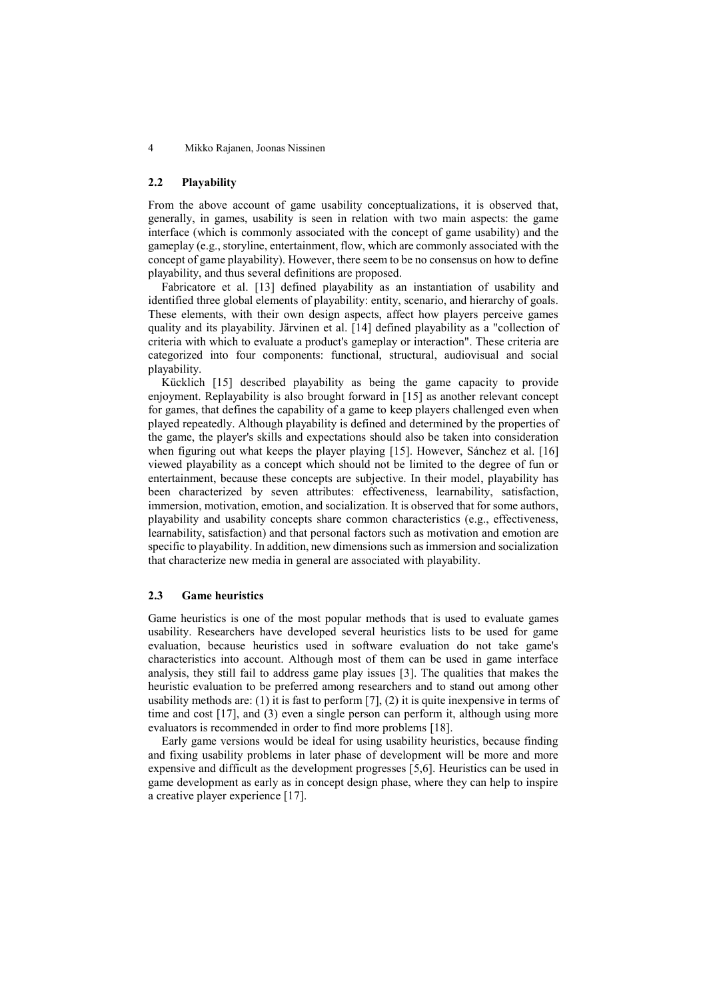## **2.2 Playability**

From the above account of game usability conceptualizations, it is observed that, generally, in games, usability is seen in relation with two main aspects: the game interface (which is commonly associated with the concept of game usability) and the gameplay (e.g., storyline, entertainment, flow, which are commonly associated with the concept of game playability). However, there seem to be no consensus on how to define playability, and thus several definitions are proposed.

Fabricatore et al. [13] defined playability as an instantiation of usability and identified three global elements of playability: entity, scenario, and hierarchy of goals. These elements, with their own design aspects, affect how players perceive games quality and its playability. Järvinen et al. [14] defined playability as a "collection of criteria with which to evaluate a product's gameplay or interaction". These criteria are categorized into four components: functional, structural, audiovisual and social playability.

Kücklich [15] described playability as being the game capacity to provide enjoyment. Replayability is also brought forward in [15] as another relevant concept for games, that defines the capability of a game to keep players challenged even when played repeatedly. Although playability is defined and determined by the properties of the game, the player's skills and expectations should also be taken into consideration when figuring out what keeps the player playing [15]. However, Sánchez et al. [16] viewed playability as a concept which should not be limited to the degree of fun or entertainment, because these concepts are subjective. In their model, playability has been characterized by seven attributes: effectiveness, learnability, satisfaction, immersion, motivation, emotion, and socialization. It is observed that for some authors, playability and usability concepts share common characteristics (e.g., effectiveness, learnability, satisfaction) and that personal factors such as motivation and emotion are specific to playability. In addition, new dimensions such as immersion and socialization that characterize new media in general are associated with playability.

## **2.3 Game heuristics**

Game heuristics is one of the most popular methods that is used to evaluate games usability. Researchers have developed several heuristics lists to be used for game evaluation, because heuristics used in software evaluation do not take game's characteristics into account. Although most of them can be used in game interface analysis, they still fail to address game play issues [3]. The qualities that makes the heuristic evaluation to be preferred among researchers and to stand out among other usability methods are: (1) it is fast to perform [7], (2) it is quite inexpensive in terms of time and cost [17], and (3) even a single person can perform it, although using more evaluators is recommended in order to find more problems [18].

Early game versions would be ideal for using usability heuristics, because finding and fixing usability problems in later phase of development will be more and more expensive and difficult as the development progresses [5,6]. Heuristics can be used in game development as early as in concept design phase, where they can help to inspire a creative player experience [17].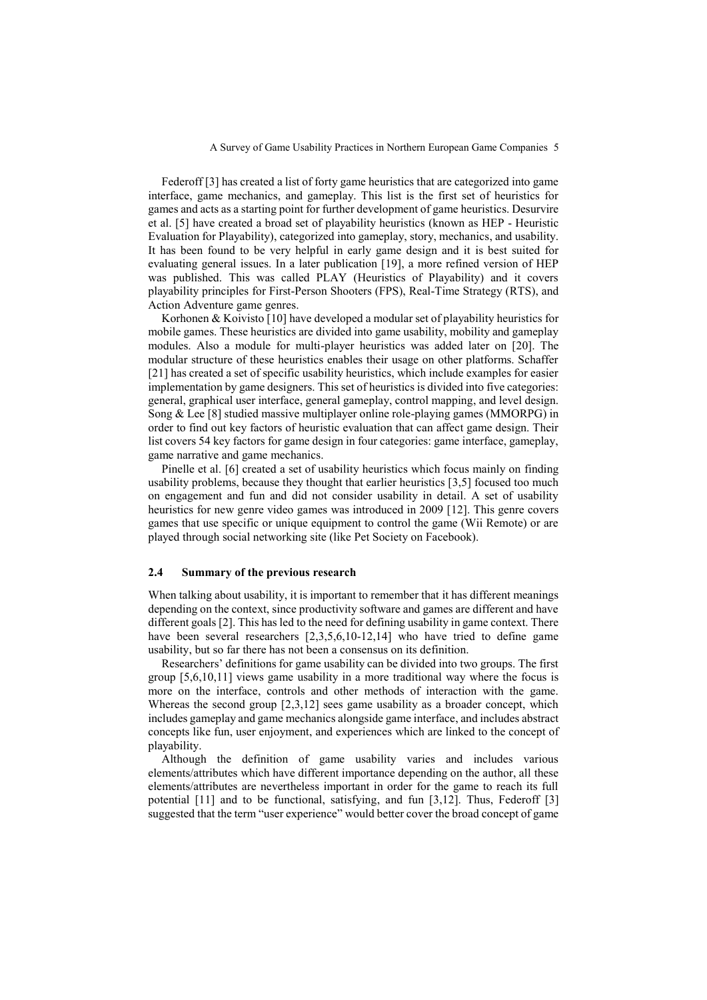Federoff [3] has created a list of forty game heuristics that are categorized into game interface, game mechanics, and gameplay. This list is the first set of heuristics for games and acts as a starting point for further development of game heuristics. Desurvire et al. [5] have created a broad set of playability heuristics (known as HEP - Heuristic Evaluation for Playability), categorized into gameplay, story, mechanics, and usability. It has been found to be very helpful in early game design and it is best suited for evaluating general issues. In a later publication [19], a more refined version of HEP was published. This was called PLAY (Heuristics of Playability) and it covers playability principles for First-Person Shooters (FPS), Real-Time Strategy (RTS), and Action Adventure game genres.

Korhonen & Koivisto [10] have developed a modular set of playability heuristics for mobile games. These heuristics are divided into game usability, mobility and gameplay modules. Also a module for multi-player heuristics was added later on [20]. The modular structure of these heuristics enables their usage on other platforms. Schaffer [21] has created a set of specific usability heuristics, which include examples for easier implementation by game designers. This set of heuristics is divided into five categories: general, graphical user interface, general gameplay, control mapping, and level design. Song & Lee [8] studied massive multiplayer online role-playing games (MMORPG) in order to find out key factors of heuristic evaluation that can affect game design. Their list covers 54 key factors for game design in four categories: game interface, gameplay, game narrative and game mechanics.

Pinelle et al. [6] created a set of usability heuristics which focus mainly on finding usability problems, because they thought that earlier heuristics [3,5] focused too much on engagement and fun and did not consider usability in detail. A set of usability heuristics for new genre video games was introduced in 2009 [12]. This genre covers games that use specific or unique equipment to control the game (Wii Remote) or are played through social networking site (like Pet Society on Facebook).

## **2.4 Summary of the previous research**

When talking about usability, it is important to remember that it has different meanings depending on the context, since productivity software and games are different and have different goals [2]. This has led to the need for defining usability in game context. There have been several researchers [2,3,5,6,10-12,14] who have tried to define game usability, but so far there has not been a consensus on its definition.

Researchers' definitions for game usability can be divided into two groups. The first group [5,6,10,11] views game usability in a more traditional way where the focus is more on the interface, controls and other methods of interaction with the game. Whereas the second group [2,3,12] sees game usability as a broader concept, which includes gameplay and game mechanics alongside game interface, and includes abstract concepts like fun, user enjoyment, and experiences which are linked to the concept of playability.

Although the definition of game usability varies and includes various elements/attributes which have different importance depending on the author, all these elements/attributes are nevertheless important in order for the game to reach its full potential [11] and to be functional, satisfying, and fun [3,12]. Thus, Federoff [3] suggested that the term "user experience" would better cover the broad concept of game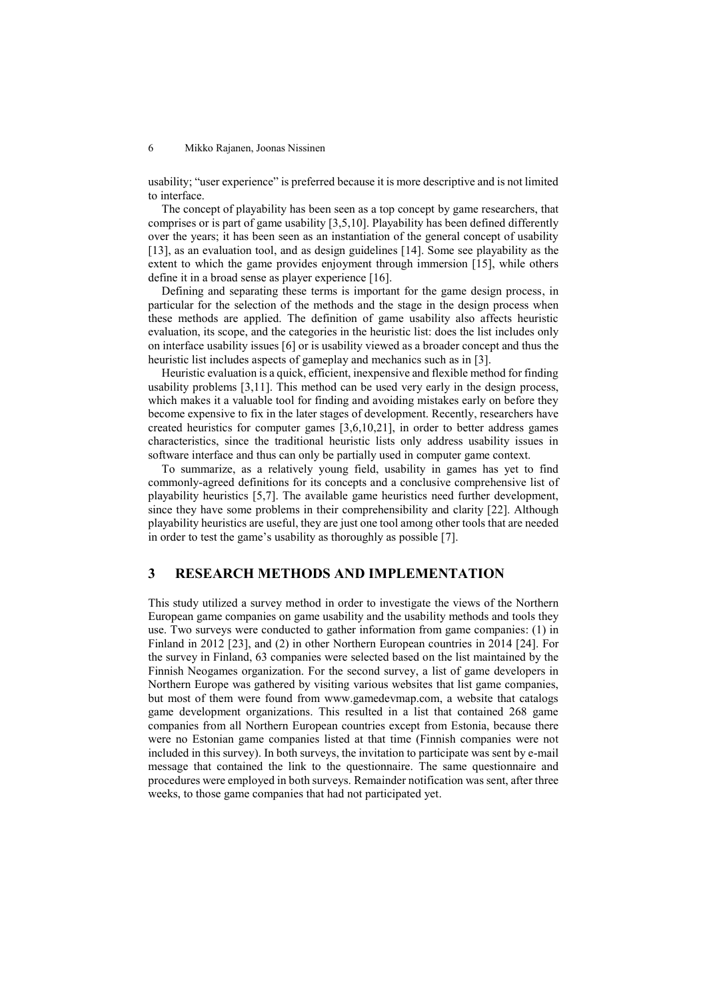usability; "user experience" is preferred because it is more descriptive and is not limited to interface.

The concept of playability has been seen as a top concept by game researchers, that comprises or is part of game usability [3,5,10]. Playability has been defined differently over the years; it has been seen as an instantiation of the general concept of usability [13], as an evaluation tool, and as design guidelines [14]. Some see playability as the extent to which the game provides enjoyment through immersion [15], while others define it in a broad sense as player experience [16].

Defining and separating these terms is important for the game design process, in particular for the selection of the methods and the stage in the design process when these methods are applied. The definition of game usability also affects heuristic evaluation, its scope, and the categories in the heuristic list: does the list includes only on interface usability issues [6] or is usability viewed as a broader concept and thus the heuristic list includes aspects of gameplay and mechanics such as in [3].

Heuristic evaluation is a quick, efficient, inexpensive and flexible method for finding usability problems [3,11]. This method can be used very early in the design process, which makes it a valuable tool for finding and avoiding mistakes early on before they become expensive to fix in the later stages of development. Recently, researchers have created heuristics for computer games [3,6,10,21], in order to better address games characteristics, since the traditional heuristic lists only address usability issues in software interface and thus can only be partially used in computer game context.

To summarize, as a relatively young field, usability in games has yet to find commonly-agreed definitions for its concepts and a conclusive comprehensive list of playability heuristics [5,7]. The available game heuristics need further development, since they have some problems in their comprehensibility and clarity [22]. Although playability heuristics are useful, they are just one tool among other tools that are needed in order to test the game's usability as thoroughly as possible [7].

# **3 RESEARCH METHODS AND IMPLEMENTATION**

This study utilized a survey method in order to investigate the views of the Northern European game companies on game usability and the usability methods and tools they use. Two surveys were conducted to gather information from game companies: (1) in Finland in 2012 [23], and (2) in other Northern European countries in 2014 [24]. For the survey in Finland, 63 companies were selected based on the list maintained by the Finnish Neogames organization. For the second survey, a list of game developers in Northern Europe was gathered by visiting various websites that list game companies, but most of them were found from www.gamedevmap.com, a website that catalogs game development organizations. This resulted in a list that contained 268 game companies from all Northern European countries except from Estonia, because there were no Estonian game companies listed at that time (Finnish companies were not included in this survey). In both surveys, the invitation to participate was sent by e-mail message that contained the link to the questionnaire. The same questionnaire and procedures were employed in both surveys. Remainder notification was sent, after three weeks, to those game companies that had not participated yet.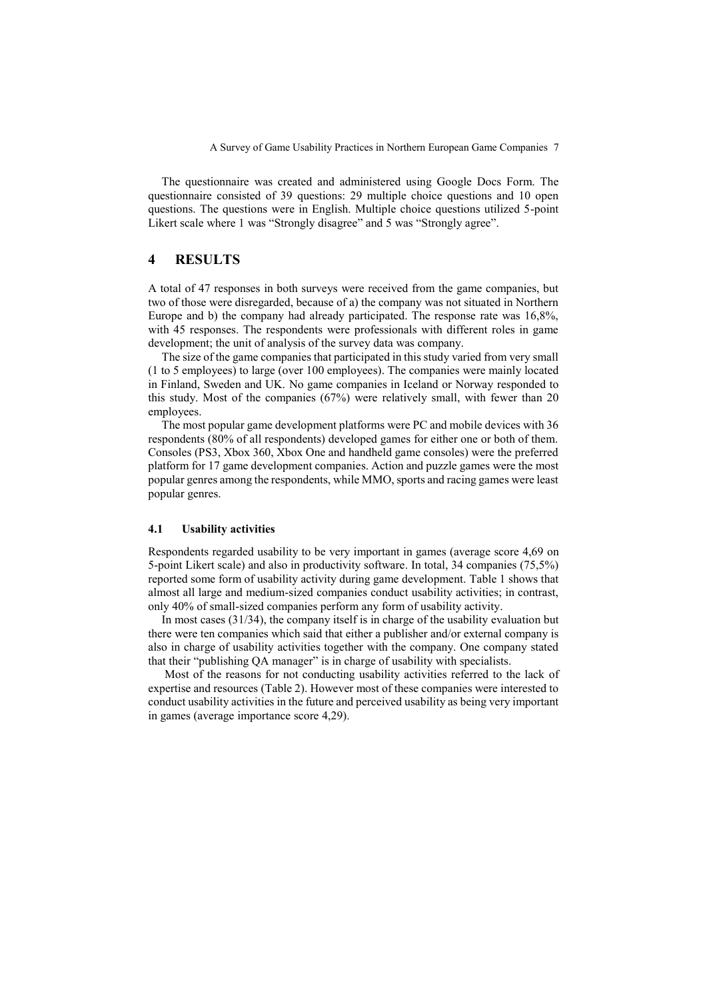The questionnaire was created and administered using Google Docs Form. The questionnaire consisted of 39 questions: 29 multiple choice questions and 10 open questions. The questions were in English. Multiple choice questions utilized 5-point Likert scale where 1 was "Strongly disagree" and 5 was "Strongly agree".

# **4 RESULTS**

A total of 47 responses in both surveys were received from the game companies, but two of those were disregarded, because of a) the company was not situated in Northern Europe and b) the company had already participated. The response rate was 16,8%, with 45 responses. The respondents were professionals with different roles in game development; the unit of analysis of the survey data was company.

The size of the game companies that participated in this study varied from very small (1 to 5 employees) to large (over 100 employees). The companies were mainly located in Finland, Sweden and UK. No game companies in Iceland or Norway responded to this study. Most of the companies (67%) were relatively small, with fewer than 20 employees.

The most popular game development platforms were PC and mobile devices with 36 respondents (80% of all respondents) developed games for either one or both of them. Consoles (PS3, Xbox 360, Xbox One and handheld game consoles) were the preferred platform for 17 game development companies. Action and puzzle games were the most popular genres among the respondents, while MMO, sports and racing games were least popular genres.

## **4.1 Usability activities**

Respondents regarded usability to be very important in games (average score 4,69 on 5-point Likert scale) and also in productivity software. In total, 34 companies (75,5%) reported some form of usability activity during game development. Table 1 shows that almost all large and medium-sized companies conduct usability activities; in contrast, only 40% of small-sized companies perform any form of usability activity.

In most cases (31/34), the company itself is in charge of the usability evaluation but there were ten companies which said that either a publisher and/or external company is also in charge of usability activities together with the company. One company stated that their "publishing QA manager" is in charge of usability with specialists.

Most of the reasons for not conducting usability activities referred to the lack of expertise and resources (Table 2). However most of these companies were interested to conduct usability activities in the future and perceived usability as being very important in games (average importance score 4,29).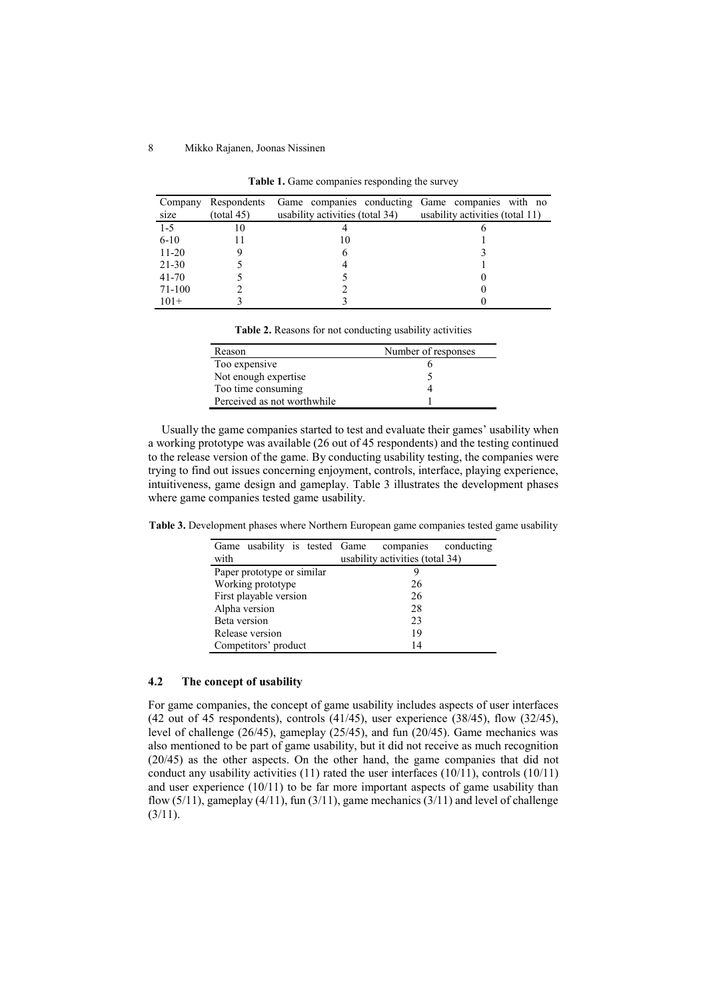| Company<br>size | Respondents<br>(total 45) | Game companies conducting Game companies with no<br>usability activities (total 34) | usability activities (total 11) |
|-----------------|---------------------------|-------------------------------------------------------------------------------------|---------------------------------|
| $1 - 5$         | 10                        |                                                                                     |                                 |
| $6 - 10$        |                           | 10                                                                                  |                                 |
| $11 - 20$       |                           |                                                                                     |                                 |
| 21-30           |                           |                                                                                     |                                 |
| $41 - 70$       |                           |                                                                                     |                                 |
| 71-100          |                           |                                                                                     |                                 |
| $101+$          |                           |                                                                                     |                                 |

**Table 1.** Game companies responding the survey

| Reason                      | Number of responses |
|-----------------------------|---------------------|
| Too expensive               |                     |
| Not enough expertise        |                     |
| Too time consuming          |                     |
| Perceived as not worthwhile |                     |

Usually the game companies started to test and evaluate their games' usability when a working prototype was available (26 out of 45 respondents) and the testing continued to the release version of the game. By conducting usability testing, the companies were trying to find out issues concerning enjoyment, controls, interface, playing experience, intuitiveness, game design and gameplay. Table 3 illustrates the development phases where game companies tested game usability.

**Table 3.** Development phases where Northern European game companies tested game usability

| Game usability is tested Game<br>with | conducting<br>companies<br>usability activities (total 34) |  |  |
|---------------------------------------|------------------------------------------------------------|--|--|
| Paper prototype or similar            |                                                            |  |  |
| Working prototype                     | 26                                                         |  |  |
| First playable version                | 26                                                         |  |  |
| Alpha version                         | 28                                                         |  |  |
| Beta version                          | 23                                                         |  |  |
| Release version                       | 19                                                         |  |  |
| Competitors' product                  | 14                                                         |  |  |

# **4.2 The concept of usability**

For game companies, the concept of game usability includes aspects of user interfaces (42 out of 45 respondents), controls (41/45), user experience (38/45), flow (32/45), level of challenge (26/45), gameplay (25/45), and fun (20/45). Game mechanics was also mentioned to be part of game usability, but it did not receive as much recognition (20/45) as the other aspects. On the other hand, the game companies that did not conduct any usability activities (11) rated the user interfaces (10/11), controls (10/11) and user experience  $(10/11)$  to be far more important aspects of game usability than flow  $(5/11)$ , gameplay  $(4/11)$ , fun  $(3/11)$ , game mechanics  $(3/11)$  and level of challenge  $(3/11).$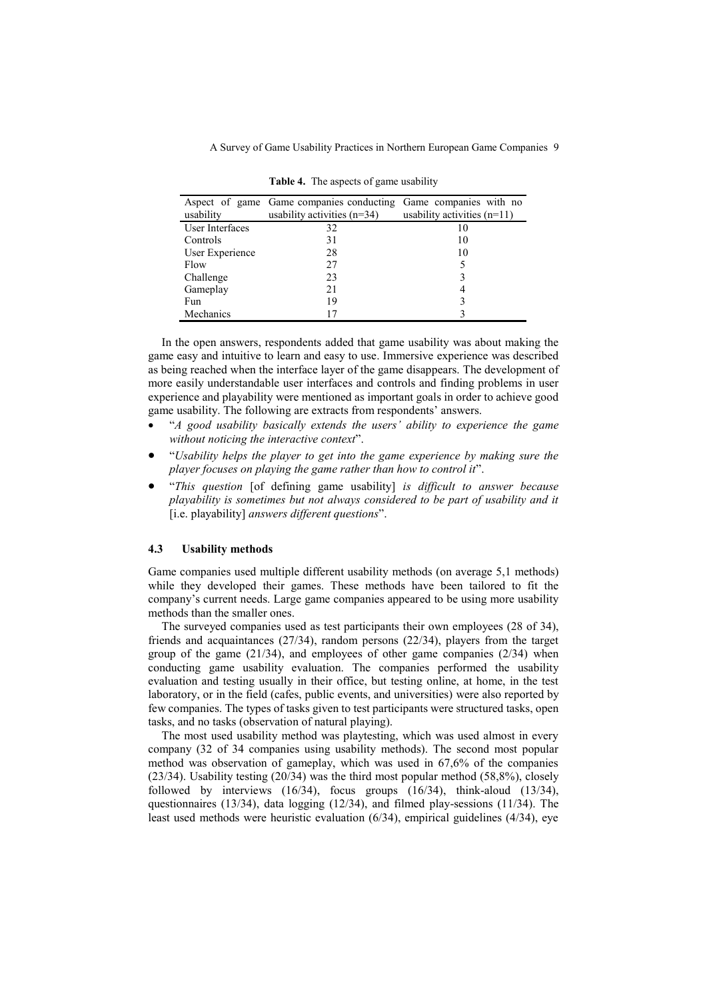A Survey of Game Usability Practices in Northern European Game Companies 9

|                 | Aspect of game Game companies conducting Game companies with no |                               |
|-----------------|-----------------------------------------------------------------|-------------------------------|
| usability       | usability activities $(n=34)$                                   | usability activities $(n=11)$ |
| User Interfaces | 32                                                              | 10                            |
| Controls        | 31                                                              | 10                            |
| User Experience | 28                                                              | 10                            |
| Flow            | 27                                                              |                               |
| Challenge       | 23                                                              |                               |
| Gameplay        | 21                                                              |                               |
| Fun             | 19                                                              |                               |
| Mechanics       |                                                                 |                               |

**Table 4.** The aspects of game usability

In the open answers, respondents added that game usability was about making the game easy and intuitive to learn and easy to use. Immersive experience was described as being reached when the interface layer of the game disappears. The development of more easily understandable user interfaces and controls and finding problems in user experience and playability were mentioned as important goals in order to achieve good game usability. The following are extracts from respondents' answers.

- "*A good usability basically extends the users' ability to experience the game without noticing the interactive context*".
- "*Usability helps the player to get into the game experience by making sure the player focuses on playing the game rather than how to control it*".
- "*This question* [of defining game usability] *is difficult to answer because playability is sometimes but not always considered to be part of usability and it*  [i.e. playability] *answers different questions*".

#### **4.3 Usability methods**

Game companies used multiple different usability methods (on average 5,1 methods) while they developed their games. These methods have been tailored to fit the company's current needs. Large game companies appeared to be using more usability methods than the smaller ones.

The surveyed companies used as test participants their own employees (28 of 34), friends and acquaintances (27/34), random persons (22/34), players from the target group of the game (21/34), and employees of other game companies (2/34) when conducting game usability evaluation. The companies performed the usability evaluation and testing usually in their office, but testing online, at home, in the test laboratory, or in the field (cafes, public events, and universities) were also reported by few companies. The types of tasks given to test participants were structured tasks, open tasks, and no tasks (observation of natural playing).

The most used usability method was playtesting, which was used almost in every company (32 of 34 companies using usability methods). The second most popular method was observation of gameplay, which was used in 67,6% of the companies (23/34). Usability testing (20/34) was the third most popular method (58,8%), closely followed by interviews  $(16/34)$ , focus groups  $(16/34)$ , think-aloud  $(13/34)$ , questionnaires (13/34), data logging (12/34), and filmed play-sessions (11/34). The least used methods were heuristic evaluation (6/34), empirical guidelines (4/34), eye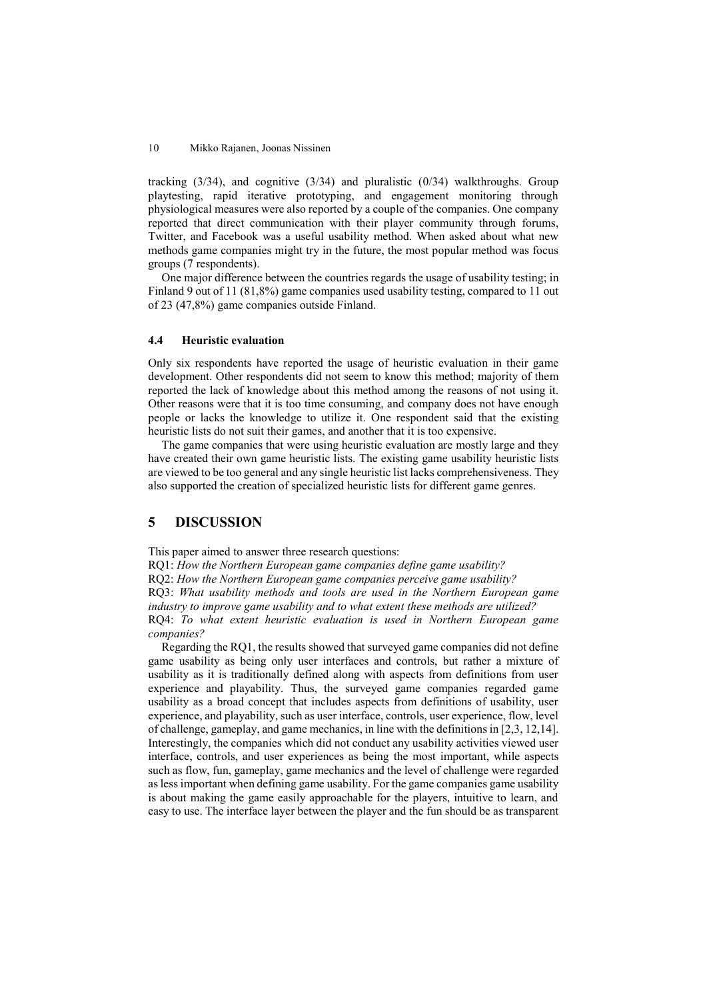tracking  $(3/34)$ , and cognitive  $(3/34)$  and pluralistic  $(0/34)$  walkthroughs. Group playtesting, rapid iterative prototyping, and engagement monitoring through physiological measures were also reported by a couple of the companies. One company reported that direct communication with their player community through forums, Twitter, and Facebook was a useful usability method. When asked about what new methods game companies might try in the future, the most popular method was focus groups (7 respondents).

One major difference between the countries regards the usage of usability testing; in Finland 9 out of 11 (81,8%) game companies used usability testing, compared to 11 out of 23 (47,8%) game companies outside Finland.

## **4.4 Heuristic evaluation**

Only six respondents have reported the usage of heuristic evaluation in their game development. Other respondents did not seem to know this method; majority of them reported the lack of knowledge about this method among the reasons of not using it. Other reasons were that it is too time consuming, and company does not have enough people or lacks the knowledge to utilize it. One respondent said that the existing heuristic lists do not suit their games, and another that it is too expensive.

The game companies that were using heuristic evaluation are mostly large and they have created their own game heuristic lists. The existing game usability heuristic lists are viewed to be too general and any single heuristic list lacks comprehensiveness. They also supported the creation of specialized heuristic lists for different game genres.

# **5 DISCUSSION**

This paper aimed to answer three research questions:

RQ1: *How the Northern European game companies define game usability?*

RQ2: *How the Northern European game companies perceive game usability?*

RQ3: *What usability methods and tools are used in the Northern European game* 

*industry to improve game usability and to what extent these methods are utilized?*

RQ4: *To what extent heuristic evaluation is used in Northern European game companies?*

Regarding the RQ1, the results showed that surveyed game companies did not define game usability as being only user interfaces and controls, but rather a mixture of usability as it is traditionally defined along with aspects from definitions from user experience and playability. Thus, the surveyed game companies regarded game usability as a broad concept that includes aspects from definitions of usability, user experience, and playability, such as user interface, controls, user experience, flow, level of challenge, gameplay, and game mechanics, in line with the definitions in [2,3, 12,14]. Interestingly, the companies which did not conduct any usability activities viewed user interface, controls, and user experiences as being the most important, while aspects such as flow, fun, gameplay, game mechanics and the level of challenge were regarded as less important when defining game usability. For the game companies game usability is about making the game easily approachable for the players, intuitive to learn, and easy to use. The interface layer between the player and the fun should be as transparent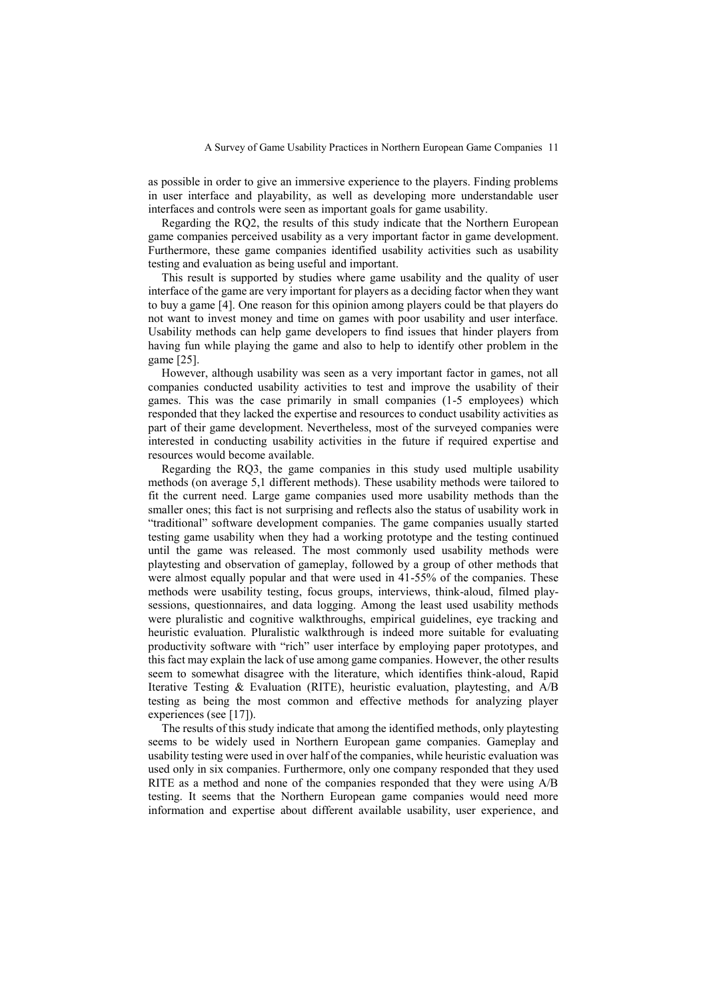as possible in order to give an immersive experience to the players. Finding problems in user interface and playability, as well as developing more understandable user interfaces and controls were seen as important goals for game usability.

Regarding the RQ2, the results of this study indicate that the Northern European game companies perceived usability as a very important factor in game development. Furthermore, these game companies identified usability activities such as usability testing and evaluation as being useful and important.

This result is supported by studies where game usability and the quality of user interface of the game are very important for players as a deciding factor when they want to buy a game [4]. One reason for this opinion among players could be that players do not want to invest money and time on games with poor usability and user interface. Usability methods can help game developers to find issues that hinder players from having fun while playing the game and also to help to identify other problem in the game [25].

However, although usability was seen as a very important factor in games, not all companies conducted usability activities to test and improve the usability of their games. This was the case primarily in small companies (1-5 employees) which responded that they lacked the expertise and resources to conduct usability activities as part of their game development. Nevertheless, most of the surveyed companies were interested in conducting usability activities in the future if required expertise and resources would become available.

Regarding the RQ3, the game companies in this study used multiple usability methods (on average 5,1 different methods). These usability methods were tailored to fit the current need. Large game companies used more usability methods than the smaller ones; this fact is not surprising and reflects also the status of usability work in "traditional" software development companies. The game companies usually started testing game usability when they had a working prototype and the testing continued until the game was released. The most commonly used usability methods were playtesting and observation of gameplay, followed by a group of other methods that were almost equally popular and that were used in 41-55% of the companies. These methods were usability testing, focus groups, interviews, think-aloud, filmed playsessions, questionnaires, and data logging. Among the least used usability methods were pluralistic and cognitive walkthroughs, empirical guidelines, eye tracking and heuristic evaluation. Pluralistic walkthrough is indeed more suitable for evaluating productivity software with "rich" user interface by employing paper prototypes, and this fact may explain the lack of use among game companies. However, the other results seem to somewhat disagree with the literature, which identifies think-aloud, Rapid Iterative Testing & Evaluation (RITE), heuristic evaluation, playtesting, and A/B testing as being the most common and effective methods for analyzing player experiences (see [17]).

The results of this study indicate that among the identified methods, only playtesting seems to be widely used in Northern European game companies. Gameplay and usability testing were used in over half of the companies, while heuristic evaluation was used only in six companies. Furthermore, only one company responded that they used RITE as a method and none of the companies responded that they were using A/B testing. It seems that the Northern European game companies would need more information and expertise about different available usability, user experience, and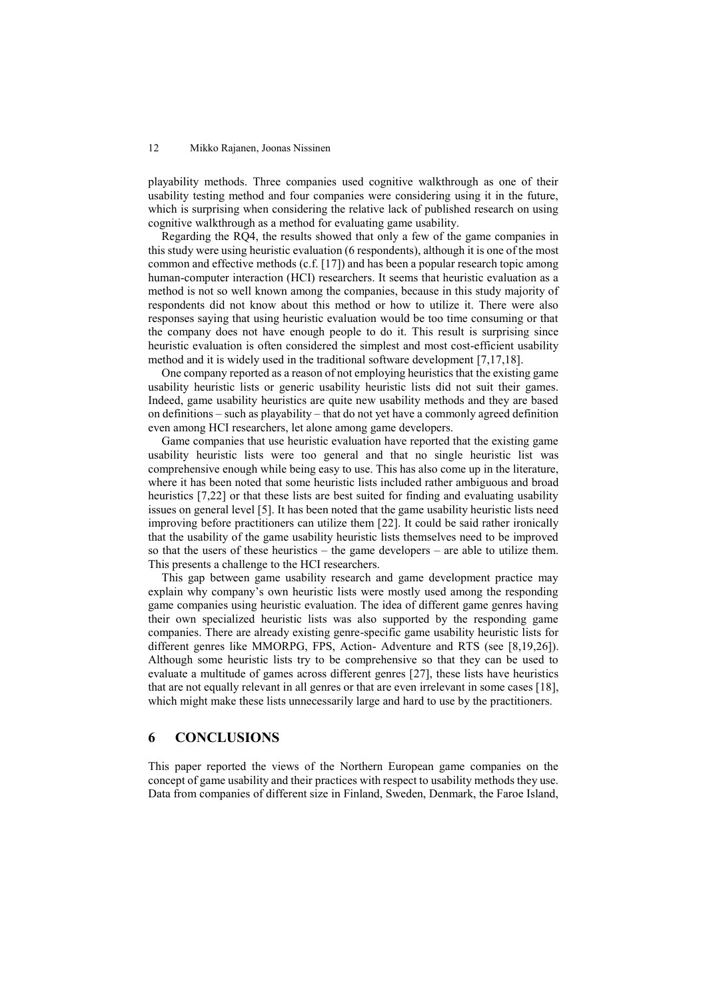playability methods. Three companies used cognitive walkthrough as one of their usability testing method and four companies were considering using it in the future, which is surprising when considering the relative lack of published research on using cognitive walkthrough as a method for evaluating game usability.

Regarding the RQ4, the results showed that only a few of the game companies in this study were using heuristic evaluation (6 respondents), although it is one of the most common and effective methods (c.f. [17]) and has been a popular research topic among human-computer interaction (HCI) researchers. It seems that heuristic evaluation as a method is not so well known among the companies, because in this study majority of respondents did not know about this method or how to utilize it. There were also responses saying that using heuristic evaluation would be too time consuming or that the company does not have enough people to do it. This result is surprising since heuristic evaluation is often considered the simplest and most cost-efficient usability method and it is widely used in the traditional software development [7,17,18].

One company reported as a reason of not employing heuristics that the existing game usability heuristic lists or generic usability heuristic lists did not suit their games. Indeed, game usability heuristics are quite new usability methods and they are based on definitions – such as playability – that do not yet have a commonly agreed definition even among HCI researchers, let alone among game developers.

Game companies that use heuristic evaluation have reported that the existing game usability heuristic lists were too general and that no single heuristic list was comprehensive enough while being easy to use. This has also come up in the literature, where it has been noted that some heuristic lists included rather ambiguous and broad heuristics [7,22] or that these lists are best suited for finding and evaluating usability issues on general level [5]. It has been noted that the game usability heuristic lists need improving before practitioners can utilize them [22]. It could be said rather ironically that the usability of the game usability heuristic lists themselves need to be improved so that the users of these heuristics – the game developers – are able to utilize them. This presents a challenge to the HCI researchers.

This gap between game usability research and game development practice may explain why company's own heuristic lists were mostly used among the responding game companies using heuristic evaluation. The idea of different game genres having their own specialized heuristic lists was also supported by the responding game companies. There are already existing genre-specific game usability heuristic lists for different genres like MMORPG, FPS, Action- Adventure and RTS (see [8,19,26]). Although some heuristic lists try to be comprehensive so that they can be used to evaluate a multitude of games across different genres [27], these lists have heuristics that are not equally relevant in all genres or that are even irrelevant in some cases [18], which might make these lists unnecessarily large and hard to use by the practitioners.

# **6 CONCLUSIONS**

This paper reported the views of the Northern European game companies on the concept of game usability and their practices with respect to usability methods they use. Data from companies of different size in Finland, Sweden, Denmark, the Faroe Island,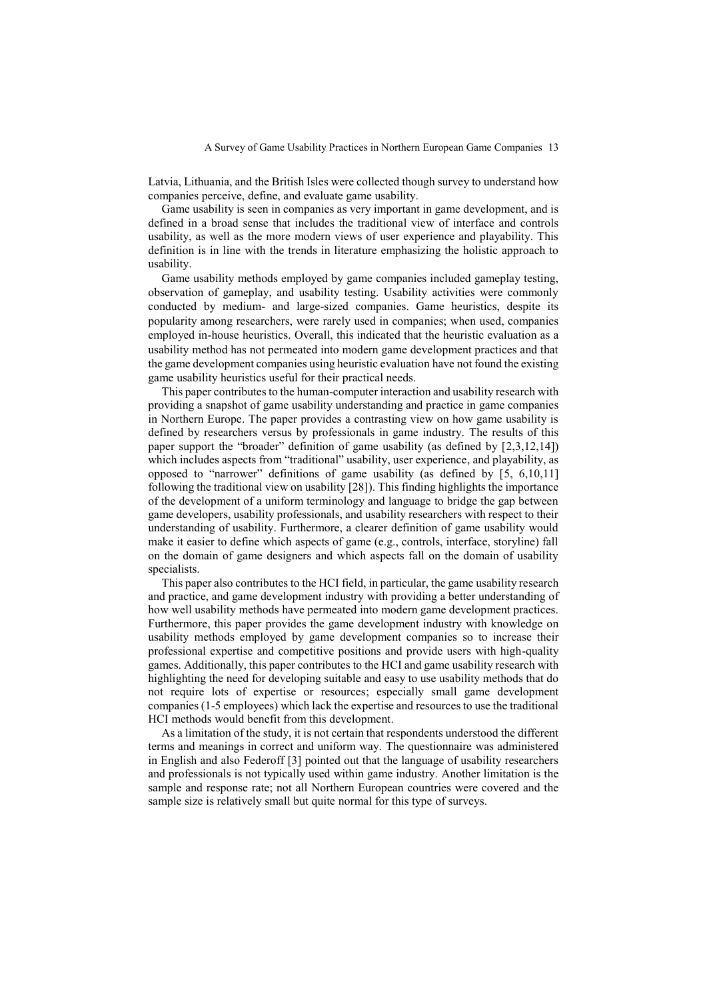Latvia, Lithuania, and the British Isles were collected though survey to understand how companies perceive, define, and evaluate game usability.

Game usability is seen in companies as very important in game development, and is defined in a broad sense that includes the traditional view of interface and controls usability, as well as the more modern views of user experience and playability. This definition is in line with the trends in literature emphasizing the holistic approach to usability.

Game usability methods employed by game companies included gameplay testing, observation of gameplay, and usability testing. Usability activities were commonly conducted by medium- and large-sized companies. Game heuristics, despite its popularity among researchers, were rarely used in companies; when used, companies employed in-house heuristics. Overall, this indicated that the heuristic evaluation as a usability method has not permeated into modern game development practices and that the game development companies using heuristic evaluation have not found the existing game usability heuristics useful for their practical needs.

This paper contributes to the human-computer interaction and usability research with providing a snapshot of game usability understanding and practice in game companies in Northern Europe. The paper provides a contrasting view on how game usability is defined by researchers versus by professionals in game industry. The results of this paper support the "broader" definition of game usability (as defined by [2,3,12,14]) which includes aspects from "traditional" usability, user experience, and playability, as opposed to "narrower" definitions of game usability (as defined by [5, 6,10,11] following the traditional view on usability [28]). This finding highlights the importance of the development of a uniform terminology and language to bridge the gap between game developers, usability professionals, and usability researchers with respect to their understanding of usability. Furthermore, a clearer definition of game usability would make it easier to define which aspects of game (e.g., controls, interface, storyline) fall on the domain of game designers and which aspects fall on the domain of usability specialists.

This paper also contributes to the HCI field, in particular, the game usability research and practice, and game development industry with providing a better understanding of how well usability methods have permeated into modern game development practices. Furthermore, this paper provides the game development industry with knowledge on usability methods employed by game development companies so to increase their professional expertise and competitive positions and provide users with high-quality games. Additionally, this paper contributes to the HCI and game usability research with highlighting the need for developing suitable and easy to use usability methods that do not require lots of expertise or resources; especially small game development companies (1-5 employees) which lack the expertise and resources to use the traditional HCI methods would benefit from this development.

As a limitation of the study, it is not certain that respondents understood the different terms and meanings in correct and uniform way. The questionnaire was administered in English and also Federoff [3] pointed out that the language of usability researchers and professionals is not typically used within game industry. Another limitation is the sample and response rate; not all Northern European countries were covered and the sample size is relatively small but quite normal for this type of surveys.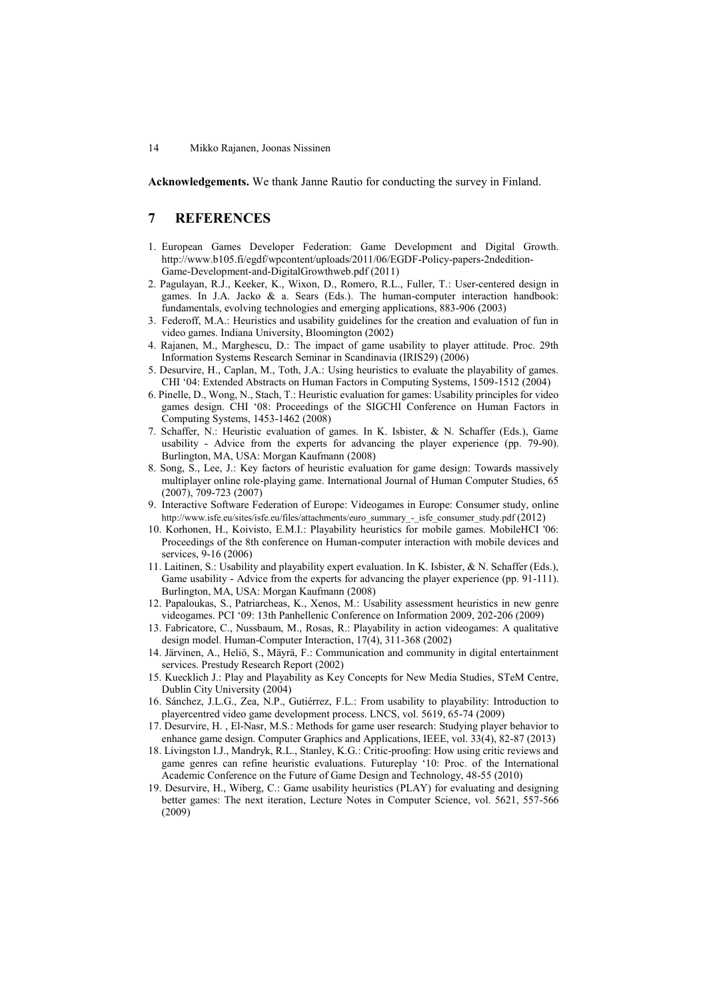**Acknowledgements.** We thank Janne Rautio for conducting the survey in Finland.

# **7 REFERENCES**

- 1. European Games Developer Federation: Game Development and Digital Growth. http://www.b105.fi/egdf/wpcontent/uploads/2011/06/EGDF-Policy-papers-2ndedition-Game-Development-and-DigitalGrowthweb.pdf (2011)
- 2. Pagulayan, R.J., Keeker, K., Wixon, D., Romero, R.L., Fuller, T.: User-centered design in games. In J.A. Jacko  $\&$  a. Sears (Eds.). The human-computer interaction handbook: fundamentals, evolving technologies and emerging applications, 883-906 (2003)
- 3. Federoff, M.A.: Heuristics and usability guidelines for the creation and evaluation of fun in video games. Indiana University, Bloomington (2002)
- 4. Rajanen, M., Marghescu, D.: The impact of game usability to player attitude. Proc. 29th Information Systems Research Seminar in Scandinavia (IRIS29) (2006)
- 5. Desurvire, H., Caplan, M., Toth, J.A.: Using heuristics to evaluate the playability of games. CHI '04: Extended Abstracts on Human Factors in Computing Systems, 1509-1512 (2004)
- 6. Pinelle, D., Wong, N., Stach, T.: Heuristic evaluation for games: Usability principles for video games design. CHI '08: Proceedings of the SIGCHI Conference on Human Factors in Computing Systems, 1453-1462 (2008)
- 7. Schaffer, N.: Heuristic evaluation of games. In K. Isbister, & N. Schaffer (Eds.), Game usability - Advice from the experts for advancing the player experience (pp. 79-90). Burlington, MA, USA: Morgan Kaufmann (2008)
- 8. Song, S., Lee, J.: Key factors of heuristic evaluation for game design: Towards massively multiplayer online role-playing game. International Journal of Human Computer Studies, 65 (2007), 709-723 (2007)
- 9. Interactive Software Federation of Europe: Videogames in Europe: Consumer study, online http://www.isfe.eu/sites/isfe.eu/files/attachments/euro\_summary\_-\_isfe\_consumer\_study.pdf (2012)
- 10. Korhonen, H., Koivisto, E.M.I.: Playability heuristics for mobile games. MobileHCI '06: Proceedings of the 8th conference on Human-computer interaction with mobile devices and services, 9-16 (2006)
- 11. Laitinen, S.: Usability and playability expert evaluation. In K. Isbister, & N. Schaffer (Eds.), Game usability - Advice from the experts for advancing the player experience (pp. 91-111). Burlington, MA, USA: Morgan Kaufmann (2008)
- 12. Papaloukas, S., Patriarcheas, K., Xenos, M.: Usability assessment heuristics in new genre videogames. PCI '09: 13th Panhellenic Conference on Information 2009, 202-206 (2009)
- 13. Fabricatore, C., Nussbaum, M., Rosas, R.: Playability in action videogames: A qualitative design model. Human-Computer Interaction, 17(4), 311-368 (2002)
- 14. Järvinen, A., Heliö, S., Mäyrä, F.: Communication and community in digital entertainment services. Prestudy Research Report (2002)
- 15. Kuecklich J.: Play and Playability as Key Concepts for New Media Studies, STeM Centre, Dublin City University (2004)
- 16. Sánchez, J.L.G., Zea, N.P., Gutiérrez, F.L.: From usability to playability: Introduction to playercentred video game development process. LNCS, vol. 5619, 65-74 (2009)
- 17. Desurvire, H. , El-Nasr, M.S.: Methods for game user research: Studying player behavior to enhance game design. Computer Graphics and Applications, IEEE, vol. 33(4), 82-87 (2013)
- 18. Livingston I.J., Mandryk, R.L., Stanley, K.G.: Critic-proofing: How using critic reviews and game genres can refine heuristic evaluations. Futureplay '10: Proc. of the International Academic Conference on the Future of Game Design and Technology, 48-55 (2010)
- 19. Desurvire, H., Wiberg, C.: Game usability heuristics (PLAY) for evaluating and designing better games: The next iteration, Lecture Notes in Computer Science, vol. 5621, 557-566 (2009)